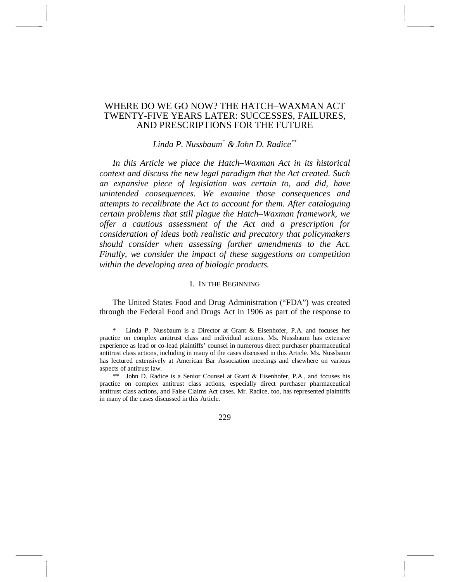# WHERE DO WE GO NOW? THE HATCH–WAXMAN ACT TWENTY-FIVE YEARS LATER: SUCCESSES, FAILURES, AND PRESCRIPTIONS FOR THE FUTURE

# *Linda P. Nussbaum[\\*](#page-0-0) & John D. Radic[e\\*\\*](#page-0-1)*

*In this Article we place the Hatch–Waxman Act in its historical context and discuss the new legal paradigm that the Act created. Such an expansive piece of legislation was certain to, and did, have unintended consequences. We examine those consequences and attempts to recalibrate the Act to account for them. After cataloguing certain problems that still plague the Hatch–Waxman framework, we offer a cautious assessment of the Act and a prescription for consideration of ideas both realistic and precatory that policymakers should consider when assessing further amendments to the Act. Finally, we consider the impact of these suggestions on competition within the developing area of biologic products.* 

# I. IN THE BEGINNING

The United States Food and Drug Administration ("FDA") was created through the Federal Food and Drugs Act in 1906 as part of the response to

<span id="page-0-0"></span> <sup>\*</sup> Linda P. Nussbaum is a Director at Grant & Eisenhofer, P.A. and focuses her practice on complex antitrust class and individual actions. Ms. Nussbaum has extensive experience as lead or co-lead plaintiffs' counsel in numerous direct purchaser pharmaceutical antitrust class actions, including in many of the cases discussed in this Article. Ms. Nussbaum has lectured extensively at American Bar Association meetings and elsewhere on various aspects of antitrust law.

<span id="page-0-1"></span><sup>\*\*</sup> John D. Radice is a Senior Counsel at Grant & Eisenhofer, P.A., and focuses his practice on complex antitrust class actions, especially direct purchaser pharmaceutical antitrust class actions, and False Claims Act cases. Mr. Radice, too, has represented plaintiffs in many of the cases discussed in this Article.

<sup>229</sup>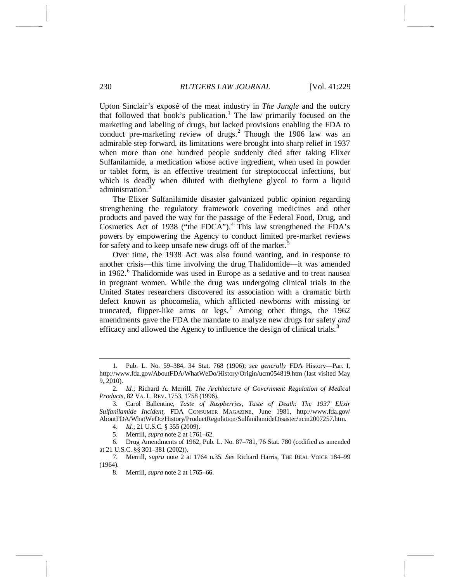<span id="page-1-0"></span>Upton Sinclair's exposé of the meat industry in *The Jungle* and the outcry that followed that book's publication.<sup>[1](#page-1-1)</sup> The law primarily focused on the marketing and labeling of drugs, but lacked provisions enabling the FDA to conduct pre-marketing review of drugs.<sup>[2](#page-1-2)</sup> Though the 1906 law was an admirable step forward, its limitations were brought into sharp relief in 1937 when more than one hundred people suddenly died after taking Elixer Sulfanilamide, a medication whose active ingredient, when used in powder or tablet form, is an effective treatment for streptococcal infections, but which is deadly when diluted with diethylene glycol to form a liquid administration.<sup>[3](#page-1-3)</sup>

The Elixer Sulfanilamide disaster galvanized public opinion regarding strengthening the regulatory framework covering medicines and other products and paved the way for the passage of the Federal Food, Drug, and Cosmetics Act of 1938 ("the FDCA").<sup>[4](#page-1-4)</sup> This law strengthened the FDA's powers by empowering the Agency to conduct limited pre-market reviews for safety and to keep unsafe new drugs off of the market.<sup>[5](#page-1-5)</sup>

Over time, the 1938 Act was also found wanting, and in response to another crisis—this time involving the drug Thalidomide—it was amended in 19[6](#page-1-6)2.<sup>6</sup> Thalidomide was used in Europe as a sedative and to treat nausea in pregnant women. While the drug was undergoing clinical trials in the United States researchers discovered its association with a dramatic birth defect known as phocomelia, which afflicted newborns with missing or truncated, flipper-like arms or legs.<sup>[7](#page-1-7)</sup> Among other things, the  $1962$ amendments gave the FDA the mandate to analyze new drugs for safety *and* efficacy and allowed the Agency to influence the design of clinical trials.<sup>[8](#page-1-8)</sup>

<span id="page-1-1"></span> <sup>1.</sup> Pub. L. No. 59–384, 34 Stat. 768 (1906); *see generally* FDA History—Part I, http://www.fda.gov/AboutFDA/WhatWeDo/History/Origin/ucm054819.htm (last visited May 9, 2010).

<span id="page-1-2"></span><sup>2.</sup> *Id.*; Richard A. Merrill, *The Architecture of Government Regulation of Medical Products*, 82 VA. L. REV. 1753, 1758 (1996).

<span id="page-1-3"></span><sup>3.</sup> Carol Ballentine, *Taste of Raspberries, Taste of Death*: *The 1937 Elixir Sulfanilamide Incident*, FDA CONSUMER MAGAZINE, June 1981, http://www.fda.gov/ AboutFDA/WhatWeDo/History/ProductRegulation/SulfanilamideDisaster/ucm2007257.htm.

<sup>4.</sup> *Id.*; 21 U.S.C. § 355 (2009).

<sup>5.</sup> Merrill, *supra* note [2](#page-1-0) at 1761–62.

<span id="page-1-6"></span><span id="page-1-5"></span><span id="page-1-4"></span><sup>6.</sup> Drug Amendments of 1962, Pub. L. No. 87–781, 76 Stat. 780 (codified as amended at 21 U.S.C. §§ 301–381 (2002)).

<span id="page-1-8"></span><span id="page-1-7"></span><sup>7.</sup> Merrill, *supra* note [2](#page-1-0) at 1764 n.35. *See* Richard Harris, THE REAL VOICE 184–99 (1964).

<sup>8.</sup> Merrill, *supra* note [2](#page-1-0) at 1765–66.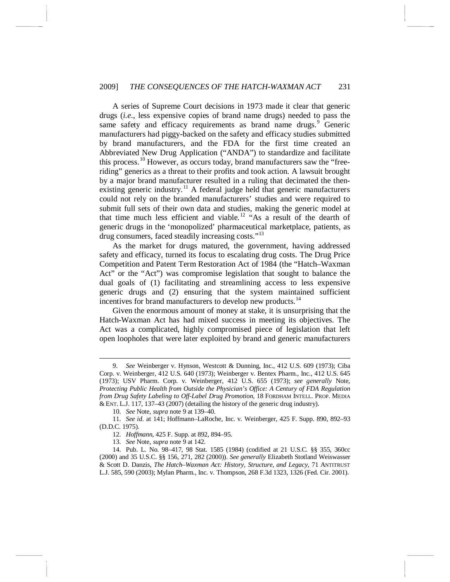### 2009] *THE CONSEQUENCES OF THE HATCH-WAXMAN ACT* 231

<span id="page-2-0"></span>A series of Supreme Court decisions in 1973 made it clear that generic drugs (*i.e*., less expensive copies of brand name drugs) needed to pass the same safety and efficacy requirements as brand name drugs.<sup>[9](#page-2-1)</sup> Generic manufacturers had piggy-backed on the safety and efficacy studies submitted by brand manufacturers, and the FDA for the first time created an Abbreviated New Drug Application ("ANDA") to standardize and facilitate this process.[10](#page-2-2) However, as occurs today, brand manufacturers saw the "freeriding" generics as a threat to their profits and took action. A lawsuit brought by a major brand manufacturer resulted in a ruling that decimated the then-existing generic industry.<sup>[11](#page-2-3)</sup> A federal judge held that generic manufacturers could not rely on the branded manufacturers' studies and were required to submit full sets of their own data and studies, making the generic model at that time much less efficient and viable.<sup>[12](#page-2-4)</sup> "As a result of the dearth of generic drugs in the 'monopolized' pharmaceutical marketplace, patients, as drug consumers, faced steadily increasing costs."<sup>[13](#page-2-5)</sup>

As the market for drugs matured, the government, having addressed safety and efficacy, turned its focus to escalating drug costs. The Drug Price Competition and Patent Term Restoration Act of 1984 (the "Hatch–Waxman Act" or the "Act") was compromise legislation that sought to balance the dual goals of (1) facilitating and streamlining access to less expensive generic drugs and (2) ensuring that the system maintained sufficient incentives for brand manufacturers to develop new products.<sup>[14](#page-2-6)</sup>

<span id="page-2-7"></span>Given the enormous amount of money at stake, it is unsurprising that the Hatch-Waxman Act has had mixed success in meeting its objectives. The Act was a complicated, highly compromised piece of legislation that left open loopholes that were later exploited by brand and generic manufacturers

<span id="page-2-1"></span> <sup>9.</sup> *See* Weinberger v. Hynson, Westcott & Dunning, Inc., 412 U.S. 609 (1973); Ciba Corp. v. Weinberger, 412 U.S. 640 (1973); Weinberger v. Bentex Pharm., Inc., 412 U.S. 645 (1973); USV Pharm. Corp. v. Weinberger, 412 U.S. 655 (1973); *see generally* Note, *Protecting Public Health from Outside the Physician's Office: A Century of FDA Regulation from Drug Safety Labeling to Off-Label Drug Promotion*, 18 FORDHAM INTELL. PROP. MEDIA & ENT. L.J. 117, 137–43 (2007) (detailing the history of the generic drug industry).

<sup>10.</sup> *See* Note, *supra* not[e 9](#page-2-0) at 139–40.

<span id="page-2-3"></span><span id="page-2-2"></span><sup>11.</sup> *See id.* at 141; Hoffmann–LaRoche, Inc. v. Weinberger, 425 F. Supp. 890, 892–93 (D.D.C. 1975).

<sup>12.</sup> *Hoffmann*, 425 F. Supp. at 892, 894–95.

<sup>13.</sup> *See* Note, *supra* not[e 9](#page-2-0) at 142.

<span id="page-2-6"></span><span id="page-2-5"></span><span id="page-2-4"></span><sup>14.</sup> Pub. L. No. 98–417, 98 Stat. 1585 (1984) (codified at 21 U.S.C. §§ 355, 360cc (2000) and 35 U.S.C. §§ 156, 271, 282 (2000)). *See generally* Elizabeth Stotland Weiswasser & Scott D. Danzis, *The Hatch–Waxman Act: History, Structure, and Legacy*, 71 ANTITRUST L.J. 585, 590 (2003); Mylan Pharm., Inc. v. Thompson, 268 F.3d 1323, 1326 (Fed. Cir. 2001).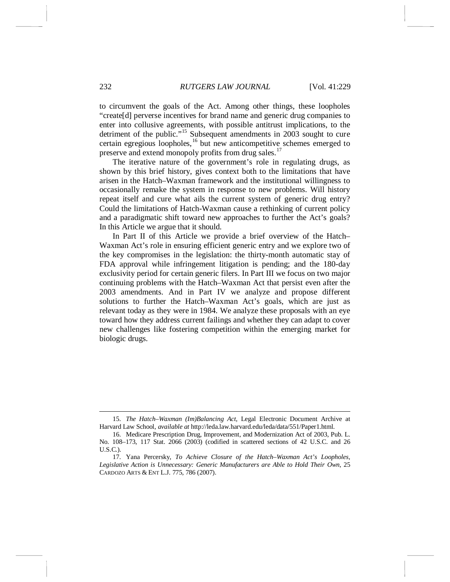to circumvent the goals of the Act. Among other things, these loopholes "create[d] perverse incentives for brand name and generic drug companies to enter into collusive agreements, with possible antitrust implications, to the detriment of the public."<sup>[15](#page-3-0)</sup> Subsequent amendments in 2003 sought to cure certain egregious loopholes,<sup>[16](#page-3-1)</sup> but new anticompetitive schemes emerged to preserve and extend monopoly profits from drug sales.<sup>[17](#page-3-2)</sup>

<span id="page-3-3"></span>The iterative nature of the government's role in regulating drugs, as shown by this brief history, gives context both to the limitations that have arisen in the Hatch–Waxman framework and the institutional willingness to occasionally remake the system in response to new problems. Will history repeat itself and cure what ails the current system of generic drug entry? Could the limitations of Hatch-Waxman cause a rethinking of current policy and a paradigmatic shift toward new approaches to further the Act's goals? In this Article we argue that it should.

In Part II of this Article we provide a brief overview of the Hatch– Waxman Act's role in ensuring efficient generic entry and we explore two of the key compromises in the legislation: the thirty-month automatic stay of FDA approval while infringement litigation is pending; and the 180-day exclusivity period for certain generic filers. In Part III we focus on two major continuing problems with the Hatch–Waxman Act that persist even after the 2003 amendments. And in Part IV we analyze and propose different solutions to further the Hatch–Waxman Act's goals, which are just as relevant today as they were in 1984. We analyze these proposals with an eye toward how they address current failings and whether they can adapt to cover new challenges like fostering competition within the emerging market for biologic drugs.

<span id="page-3-0"></span> <sup>15.</sup> *The Hatch–Waxman (Im)Balancing Act*, Legal Electronic Document Archive at Harvard Law School, *available at* http://leda.law.harvard.edu/leda/data/551/Paper1.html.

<span id="page-3-1"></span><sup>16.</sup> Medicare Prescription Drug, Improvement, and Modernization Act of 2003, Pub. L. No. 108–173, 117 Stat. 2066 (2003) (codified in scattered sections of 42 U.S.C. and 26 U.S.C.).

<span id="page-3-2"></span><sup>17.</sup> Yana Percersky, *To Achieve Closure of the Hatch–Waxman Act's Loopholes, Legislative Action is Unnecessary: Generic Manufacturers are Able to Hold Their Own*, 25 CARDOZO ARTS & ENT L.J. 775, 786 (2007).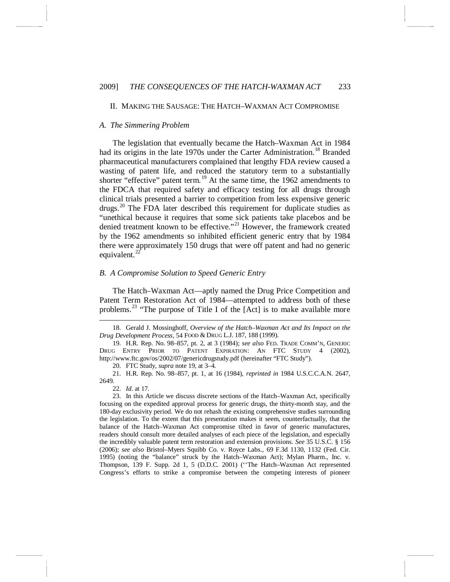#### <span id="page-4-7"></span>II. MAKING THE SAUSAGE: THE HATCH–WAXMAN ACT COMPROMISE

#### *A. The Simmering Problem*

<span id="page-4-0"></span>The legislation that eventually became the Hatch–Waxman Act in 1984 had its origins in the late 1970s under the Carter Administration.<sup>[18](#page-4-1)</sup> Branded pharmaceutical manufacturers complained that lengthy FDA review caused a wasting of patent life, and reduced the statutory term to a substantially shorter "effective" patent term.<sup>[19](#page-4-2)</sup> At the same time, the 1962 amendments to the FDCA that required safety and efficacy testing for all drugs through clinical trials presented a barrier to competition from less expensive generic drugs.<sup>[20](#page-4-3)</sup> The FDA later described this requirement for duplicate studies as "unethical because it requires that some sick patients take placebos and be denied treatment known to be effective."<sup>[21](#page-4-4)</sup> However, the framework created by the 1962 amendments so inhibited efficient generic entry that by 1984 there were approximately 150 drugs that were off patent and had no generic equivalent. $^{22}$  $^{22}$  $^{22}$ 

#### *B. A Compromise Solution to Speed Generic Entry*

The Hatch–Waxman Act—aptly named the Drug Price Competition and Patent Term Restoration Act of 1984—attempted to address both of these problems.<sup>[23](#page-4-6)</sup> "The purpose of Title I of the  $[Act]$  is to make available more

20. FTC Study, *supra* not[e 19,](#page-4-0) at 3–4.

<span id="page-4-4"></span><span id="page-4-3"></span>21. H.R. Rep. No. 98–857, pt. 1, at 16 (1984), *reprinted in* 1984 U.S.C.C.A.N. 2647, 2649.

<span id="page-4-1"></span> <sup>18.</sup> Gerald J. Mossinghoff, *Overview of the Hatch–Waxman Act and Its Impact on the Drug Development Process*, 54 FOOD & DRUG L.J. 187, 188 (1999).

<span id="page-4-2"></span><sup>19.</sup> H.R. Rep. No. 98–857, pt. 2, at 3 (1984); *see also* FED. TRADE COMM'N, GENERIC DRUG ENTRY PRIOR TO PATENT EXPIRATION: AN FTC STUDY 4 (2002), http://www.ftc.gov/os/2002/07/genericdrugstudy.pdf (hereinafter "FTC Study").

<sup>22.</sup> *Id.* at 17.

<span id="page-4-6"></span><span id="page-4-5"></span><sup>23.</sup> In this Article we discuss discrete sections of the Hatch–Waxman Act, specifically focusing on the expedited approval process for generic drugs, the thirty-month stay, and the 180-day exclusivity period. We do not rehash the existing comprehensive studies surrounding the legislation. To the extent that this presentation makes it seem, counterfactually, that the balance of the Hatch–Waxman Act compromise tilted in favor of generic manufactures, readers should consult more detailed analyses of each piece of the legislation, and especially the incredibly valuable patent term restoration and extension provisions. *See* 35 U.S.C. § 156 (2006); *see also* Bristol–Myers Squibb Co. v. Royce Labs., 69 F.3d 1130, 1132 (Fed. Cir. 1995) (noting the "balance" struck by the Hatch–Waxman Act); Mylan Pharm., Inc. v. Thompson, 139 F. Supp. 2d 1, 5 (D.D.C. 2001) (''The Hatch–Waxman Act represented Congress's efforts to strike a compromise between the competing interests of pioneer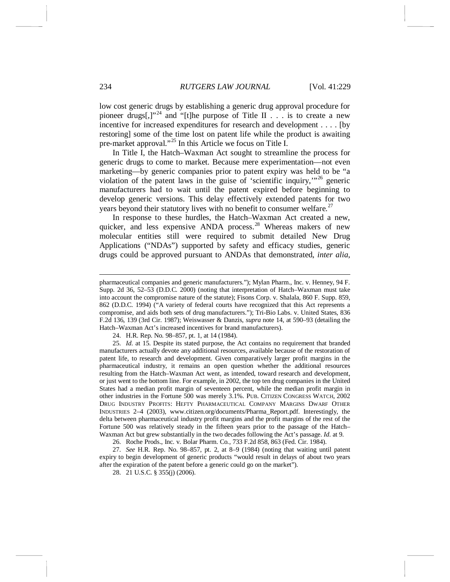low cost generic drugs by establishing a generic drug approval procedure for pioneer drugs[,]"<sup>[24](#page-5-0)</sup> and "[t]he purpose of Title II  $\ldots$  is to create a new incentive for increased expenditures for research and development . . . . [by restoring] some of the time lost on patent life while the product is awaiting pre-market approval."<sup>[25](#page-5-1)</sup> In this Article we focus on Title I.

<span id="page-5-5"></span>In Title I, the Hatch–Waxman Act sought to streamline the process for generic drugs to come to market. Because mere experimentation—not even marketing—by generic companies prior to patent expiry was held to be "a violation of the patent laws in the guise of 'scientific inquiry,'" [26](#page-5-2) generic manufacturers had to wait until the patent expired before beginning to develop generic versions. This delay effectively extended patents for two years beyond their statutory lives with no benefit to consumer welfare.<sup>[27](#page-5-3)</sup>

In response to these hurdles, the Hatch–Waxman Act created a new, quicker, and less expensive ANDA process.<sup>[28](#page-5-4)</sup> Whereas makers of new molecular entities still were required to submit detailed New Drug Applications ("NDAs") supported by safety and efficacy studies, generic drugs could be approved pursuant to ANDAs that demonstrated, *inter alia*,

24. H.R. Rep. No. 98–857, pt. 1, at 14 (1984).

26. Roche Prods., Inc. v. Bolar Pharm. Co*.*, 733 F.2d 858, 863 (Fed. Cir. 1984).

pharmaceutical companies and generic manufacturers."); Mylan Pharm., Inc. v. Henney, 94 F. Supp. 2d 36, 52–53 (D.D.C. 2000) (noting that interpretation of Hatch–Waxman must take into account the compromise nature of the statute); Fisons Corp. v. Shalala, 860 F. Supp. 859, 862 (D.D.C. 1994) ("A variety of federal courts have recognized that this Act represents a compromise, and aids both sets of drug manufacturers."); Tri-Bio Labs. v. United States, 836 F.2d 136, 139 (3rd Cir. 1987); Weiswasser & Danzis, *supra* note [14,](#page-2-7) at 590–93 (detailing the Hatch–Waxman Act's increased incentives for brand manufacturers).

<span id="page-5-1"></span><span id="page-5-0"></span><sup>25.</sup> *Id.* at 15. Despite its stated purpose, the Act contains no requirement that branded manufacturers actually devote any additional resources, available because of the restoration of patent life, to research and development. Given comparatively larger profit margins in the pharmaceutical industry, it remains an open question whether the additional resources resulting from the Hatch–Waxman Act went, as intended, toward research and development, or just went to the bottom line. For example, in 2002, the top ten drug companies in the United States had a median profit margin of seventeen percent, while the median profit margin in other industries in the Fortune 500 was merely 3.1%. PUB. CITIZEN CONGRESS WATCH, 2002 DRUG INDUSTRY PROFITS: HEFTY PHARMACEUTICAL COMPANY MARGINS DWARF OTHER INDUSTRIES 2–4 (2003), www.citizen.org/documents/Pharma\_Report.pdf. Interestingly, the delta between pharmaceutical industry profit margins and the profit margins of the rest of the Fortune 500 was relatively steady in the fifteen years prior to the passage of the Hatch– Waxman Act but grew substantially in the two decades following the Act's passage. *Id.* at 9.

<span id="page-5-4"></span><span id="page-5-3"></span><span id="page-5-2"></span><sup>27.</sup> *See* H.R. Rep. No. 98–857, pt. 2, at 8–9 (1984) (noting that waiting until patent expiry to begin development of generic products "would result in delays of about two years after the expiration of the patent before a generic could go on the market").

<sup>28.</sup> 21 U.S.C. § 355(j) (2006).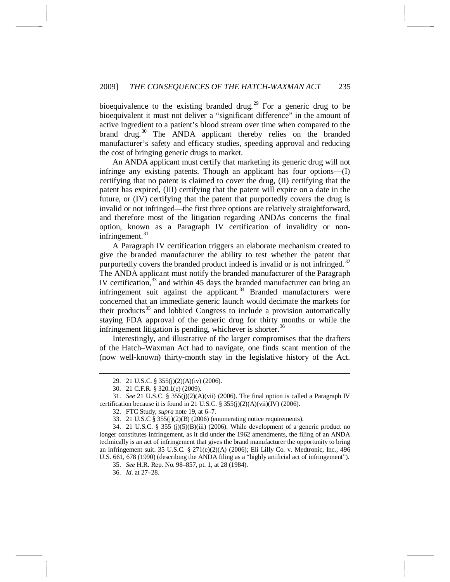bioequivalence to the existing branded drug.<sup>[29](#page-6-0)</sup> For a generic drug to be bioequivalent it must not deliver a "significant difference" in the amount of active ingredient to a patient's blood stream over time when compared to the brand drug.<sup>[30](#page-6-1)</sup> The ANDA applicant thereby relies on the branded manufacturer's safety and efficacy studies, speeding approval and reducing the cost of bringing generic drugs to market.

An ANDA applicant must certify that marketing its generic drug will not infringe any existing patents. Though an applicant has four options—(I) certifying that no patent is claimed to cover the drug, (II) certifying that the patent has expired, (III) certifying that the patent will expire on a date in the future, or (IV) certifying that the patent that purportedly covers the drug is invalid or not infringed—the first three options are relatively straightforward, and therefore most of the litigation regarding ANDAs concerns the final option, known as a Paragraph IV certification of invalidity or noninfringement. [31](#page-6-2)

A Paragraph IV certification triggers an elaborate mechanism created to give the branded manufacturer the ability to test whether the patent that purportedly covers the branded product indeed is invalid or is not infringed.<sup>[32](#page-6-3)</sup> The ANDA applicant must notify the branded manufacturer of the Paragraph IV certification,  $33$  and within 45 days the branded manufacturer can bring an infringement suit against the applicant. $34$  Branded manufacturers were concerned that an immediate generic launch would decimate the markets for their products<sup>[35](#page-6-6)</sup> and lobbied Congress to include a provision automatically staying FDA approval of the generic drug for thirty months or while the infringement litigation is pending, whichever is shorter. $36$ 

Interestingly, and illustrative of the larger compromises that the drafters of the Hatch–Waxman Act had to navigate, one finds scant mention of the (now well-known) thirty-month stay in the legislative history of the Act.

 <sup>29.</sup> 21 U.S.C. § 355(j)(2)(A)(iv) (2006).

<sup>30.</sup> 21 C.F.R. § 320.1(e) (2009).

<span id="page-6-3"></span><span id="page-6-2"></span><span id="page-6-1"></span><span id="page-6-0"></span><sup>31.</sup> *See* 21 U.S.C. § 355(j)(2)(A)(vii) (2006). The final option is called a Paragraph IV certification because it is found in 21 U.S.C. § 355(j)(2)(A)(vii)(IV) (2006).

<sup>32.</sup> FTC Study, *supra* not[e 19,](#page-4-0) at 6–7.

<sup>33.</sup> 21 U.S.C § 355(j)(2)(B) (2006) (enumerating notice requirements).

<span id="page-6-7"></span><span id="page-6-6"></span><span id="page-6-5"></span><span id="page-6-4"></span><sup>34. 21</sup> U.S.C. § 355 (j)(5)(B)(iii) (2006). While development of a generic product no longer constitutes infringement, as it did under the 1962 amendments, the filing of an ANDA technically is an act of infringement that gives the brand manufacturer the opportunity to bring an infringement suit. 35 U.S.C. § 271(e)(2)(A) (2006); Eli Lilly Co. v. Medtronic, Inc., 496 U.S. 661, 678 (1990) (describing the ANDA filing as a "highly artificial act of infringement").

<sup>35.</sup> *See* H.R. Rep. No. 98–857, pt. 1, at 28 (1984).

<sup>36.</sup> *Id.* at 27–28.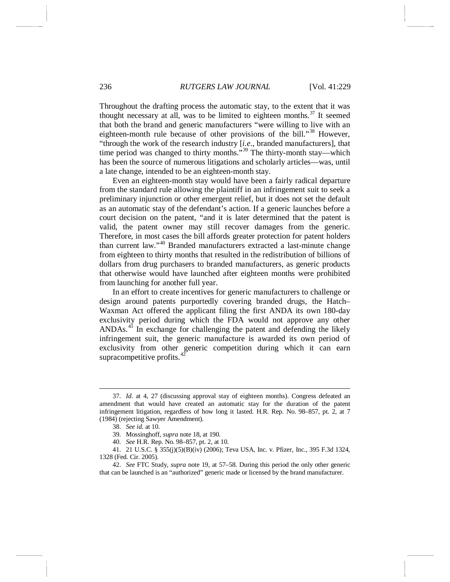Throughout the drafting process the automatic stay, to the extent that it was thought necessary at all, was to be limited to eighteen months.<sup>[37](#page-7-0)</sup> It seemed that both the brand and generic manufacturers "were willing to live with an eighteen-month rule because of other provisions of the bill."<sup>[38](#page-7-1)</sup> However, "through the work of the research industry [*i.e*., branded manufacturers], that time period was changed to thirty months."<sup>[39](#page-7-2)</sup> The thirty-month stay—which has been the source of numerous litigations and scholarly articles—was, until a late change, intended to be an eighteen-month stay.

Even an eighteen-month stay would have been a fairly radical departure from the standard rule allowing the plaintiff in an infringement suit to seek a preliminary injunction or other emergent relief, but it does not set the default as an automatic stay of the defendant's action. If a generic launches before a court decision on the patent, "and it is later determined that the patent is valid, the patent owner may still recover damages from the generic. Therefore, in most cases the bill affords greater protection for patent holders than current law." [40](#page-7-3) Branded manufacturers extracted a last-minute change from eighteen to thirty months that resulted in the redistribution of billions of dollars from drug purchasers to branded manufacturers, as generic products that otherwise would have launched after eighteen months were prohibited from launching for another full year.

In an effort to create incentives for generic manufacturers to challenge or design around patents purportedly covering branded drugs, the Hatch– Waxman Act offered the applicant filing the first ANDA its own 180-day exclusivity period during which the FDA would not approve any other ANDAs.<sup>[41](#page-7-4)</sup> In exchange for challenging the patent and defending the likely infringement suit, the generic manufacture is awarded its own period of exclusivity from other generic competition during which it can earn supracompetitive profits.<sup>[42](#page-7-5)</sup>

<span id="page-7-0"></span> <sup>37.</sup> *Id.* at 4, 27 (discussing approval stay of eighteen months). Congress defeated an amendment that would have created an automatic stay for the duration of the patent infringement litigation, regardless of how long it lasted. H.R. Rep. No. 98–857, pt. 2, at 7 (1984) (rejecting Sawyer Amendment).

<sup>38.</sup> *See id.* at 10.

<sup>39.</sup> Mossinghoff, *supra* not[e 18,](#page-4-7) at 190.

<sup>40.</sup> *See* H.R. Rep. No. 98–857, pt. 2, at 10.

<span id="page-7-4"></span><span id="page-7-3"></span><span id="page-7-2"></span><span id="page-7-1"></span><sup>41.</sup> 21 U.S.C. § 355(j)(5)(B)(iv) (2006); Teva USA, Inc. v. Pfizer, Inc., 395 F.3d 1324, 1328 (Fed. Cir. 2005).

<span id="page-7-5"></span><sup>42.</sup> *See* FTC Study, *supra* note [19,](#page-4-0) at 57–58. During this period the only other generic that can be launched is an "authorized" generic made or licensed by the brand manufacturer.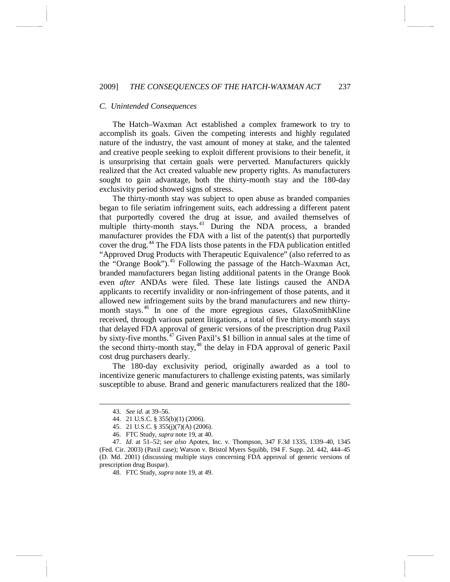# *C. Unintended Consequences*

The Hatch–Waxman Act established a complex framework to try to accomplish its goals. Given the competing interests and highly regulated nature of the industry, the vast amount of money at stake, and the talented and creative people seeking to exploit different provisions to their benefit, it is unsurprising that certain goals were perverted. Manufacturers quickly realized that the Act created valuable new property rights. As manufacturers sought to gain advantage, both the thirty-month stay and the 180-day exclusivity period showed signs of stress.

The thirty-month stay was subject to open abuse as branded companies began to file seriatim infringement suits, each addressing a different patent that purportedly covered the drug at issue, and availed themselves of multiple thirty-month stays.<sup>[43](#page-8-0)</sup> During the NDA process, a branded manufacturer provides the FDA with a list of the patent(s) that purportedly cover the drug.<sup>[44](#page-8-1)</sup> The FDA lists those patents in the FDA publication entitled "Approved Drug Products with Therapeutic Equivalence" (also referred to as the "Orange Book").<sup>[45](#page-8-2)</sup> Following the passage of the Hatch–Waxman Act, branded manufacturers began listing additional patents in the Orange Book even *after* ANDAs were filed. These late listings caused the ANDA applicants to recertify invalidity or non-infringement of those patents, and it allowed new infringement suits by the brand manufacturers and new thirty-month stays.<sup>[46](#page-8-3)</sup> In one of the more egregious cases, GlaxoSmithKline received, through various patent litigations, a total of five thirty-month stays that delayed FDA approval of generic versions of the prescription drug Paxil by sixty-five months.<sup>[47](#page-8-4)</sup> Given Paxil's \$1 billion in annual sales at the time of the second thirty-month stay,<sup>[48](#page-8-5)</sup> the delay in FDA approval of generic Paxil cost drug purchasers dearly.

The 180-day exclusivity period, originally awarded as a tool to incentivize generic manufacturers to challenge existing patents, was similarly susceptible to abuse. Brand and generic manufacturers realized that the 180-

 <sup>43.</sup> *See id.* at 39–56.

<sup>44.</sup> 21 U.S.C. § 355(b)(1) (2006).

<sup>45.</sup> 21 U.S.C. § 355(j)(7)(A) (2006).

<sup>46.</sup> FTC Study, *supra* note [19,](#page-4-0) at 40.

<span id="page-8-5"></span><span id="page-8-4"></span><span id="page-8-3"></span><span id="page-8-2"></span><span id="page-8-1"></span><span id="page-8-0"></span><sup>47.</sup> *Id*. at 51–52; *see also* Apotex, Inc. v. Thompson, 347 F.3d 1335, 1339–40, 1345 (Fed. Cir. 2003) (Paxil case); Watson v. Bristol Myers Squibb, 194 F. Supp. 2d. 442, 444–45 (D. Md. 2001) (discussing multiple stays concerning FDA approval of generic versions of prescription drug Buspar).

<sup>48.</sup> FTC Study, *supra* note [19,](#page-4-0) at 49.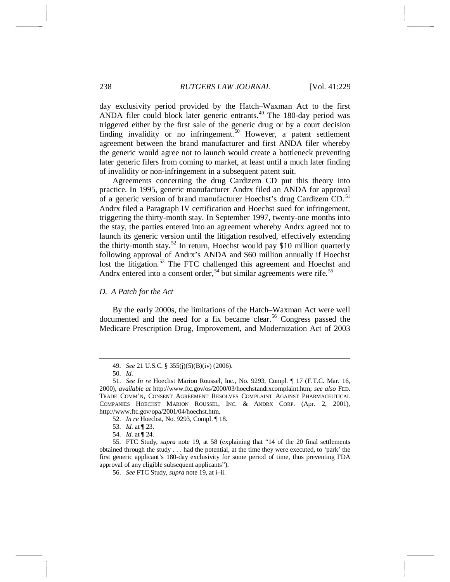day exclusivity period provided by the Hatch–Waxman Act to the first ANDA filer could block later generic entrants.<sup>[49](#page-9-0)</sup> The 180-day period was triggered either by the first sale of the generic drug or by a court decision finding invalidity or no infringement.<sup>[50](#page-9-1)</sup> However, a patent settlement agreement between the brand manufacturer and first ANDA filer whereby the generic would agree not to launch would create a bottleneck preventing later generic filers from coming to market, at least until a much later finding of invalidity or non-infringement in a subsequent patent suit.

Agreements concerning the drug Cardizem CD put this theory into practice. In 1995, generic manufacturer Andrx filed an ANDA for approval of a generic version of brand manufacturer Hoechst's drug Cardizem CD.<sup>[51](#page-9-2)</sup> Andrx filed a Paragraph IV certification and Hoechst sued for infringement, triggering the thirty-month stay. In September 1997, twenty-one months into the stay, the parties entered into an agreement whereby Andrx agreed not to launch its generic version until the litigation resolved, effectively extending the thirty-month stay.<sup>[52](#page-9-3)</sup> In return, Hoechst would pay \$10 million quarterly following approval of Andrx's ANDA and \$60 million annually if Hoechst lost the litigation.<sup>[53](#page-9-4)</sup> The FTC challenged this agreement and Hoechst and Andrx entered into a consent order,<sup>[54](#page-9-5)</sup> but similar agreements were rife.<sup>[55](#page-9-6)</sup>

# *D. A Patch for the Act*

By the early 2000s, the limitations of the Hatch–Waxman Act were well documented and the need for a fix became clear.<sup>[56](#page-9-7)</sup> Congress passed the Medicare Prescription Drug, Improvement, and Modernization Act of 2003

52. *In re* Hoechst, No. 9293, Compl. ¶ 18.

 <sup>49.</sup> *See* 21 U.S.C. § 355(j)(5)(B)(iv) (2006).

<sup>50.</sup> *Id.* 

<span id="page-9-2"></span><span id="page-9-1"></span><span id="page-9-0"></span><sup>51.</sup> *See In re* Hoechst Marion Roussel, Inc., No. 9293, Compl. ¶ 17 (F.T.C. Mar. 16, 2000), *available at* http://www.ftc.gov/os/2000/03/hoechstandrxcomplaint.htm; *see also* FED. TRADE COMM'N, CONSENT AGREEMENT RESOLVES COMPLAINT AGAINST PHARMACEUTICAL COMPANIES HOECHST MARION ROUSSEL, INC. & ANDRX CORP. (Apr. 2, 2001), http://www.ftc.gov/opa/2001/04/hoechst.htm.

<sup>53.</sup> *Id.* at ¶ 23.

<sup>54.</sup> *Id.* at ¶ 24.

<span id="page-9-7"></span><span id="page-9-6"></span><span id="page-9-5"></span><span id="page-9-4"></span><span id="page-9-3"></span><sup>55.</sup> FTC Study, *supra* note [19,](#page-4-0) at 58 (explaining that "14 of the 20 final settlements obtained through the study . . . had the potential, at the time they were executed, to 'park' the first generic applicant's 180-day exclusivity for some period of time, thus preventing FDA approval of any eligible subsequent applicants").

<sup>56.</sup> *See* FTC Study, *supra* note [19,](#page-4-0) at i–ii.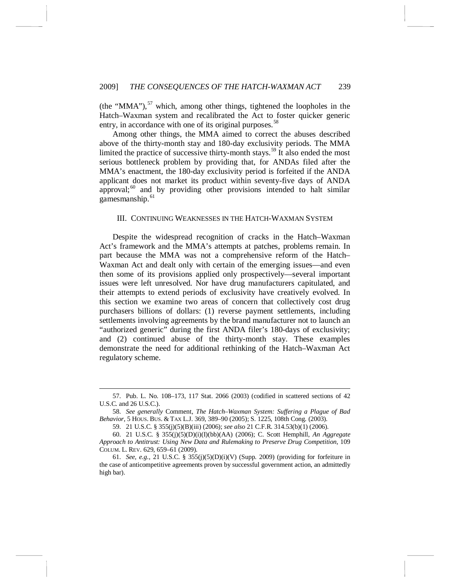(the "MMA"), $^{57}$  $^{57}$  $^{57}$  which, among other things, tightened the loopholes in the Hatch–Waxman system and recalibrated the Act to foster quicker generic entry, in accordance with one of its original purposes.<sup>[58](#page-10-1)</sup>

Among other things, the MMA aimed to correct the abuses described above of the thirty-month stay and 180-day exclusivity periods. The MMA limited the practice of successive thirty-month stays.<sup>[59](#page-10-2)</sup> It also ended the most serious bottleneck problem by providing that, for ANDAs filed after the MMA's enactment, the 180-day exclusivity period is forfeited if the ANDA applicant does not market its product within seventy-five days of ANDA approval; $60$  and by providing other provisions intended to halt similar gamesmanship.<sup>[61](#page-10-4)</sup>

# <span id="page-10-5"></span>III. CONTINUING WEAKNESSES IN THE HATCH-WAXMAN SYSTEM

Despite the widespread recognition of cracks in the Hatch–Waxman Act's framework and the MMA's attempts at patches, problems remain. In part because the MMA was not a comprehensive reform of the Hatch– Waxman Act and dealt only with certain of the emerging issues—and even then some of its provisions applied only prospectively—several important issues were left unresolved. Nor have drug manufacturers capitulated, and their attempts to extend periods of exclusivity have creatively evolved. In this section we examine two areas of concern that collectively cost drug purchasers billions of dollars: (1) reverse payment settlements, including settlements involving agreements by the brand manufacturer not to launch an "authorized generic" during the first ANDA filer's 180-days of exclusivity; and (2) continued abuse of the thirty-month stay. These examples demonstrate the need for additional rethinking of the Hatch–Waxman Act regulatory scheme.

<span id="page-10-0"></span> <sup>57.</sup> Pub. L. No. 108–173, 117 Stat. 2066 (2003) (codified in scattered sections of 42 U.S.C. and 26 U.S.C.).

<span id="page-10-1"></span><sup>58.</sup> *See generally* Comment, *The Hatch–Waxman System: Suffering a Plague of Bad Behavior*, 5 HOUS. BUS. & TAX L.J. 369, 389–90 (2005); S. 1225, 108th Cong. (2003).

<sup>59.</sup> 21 U.S.C. § 355(j)(5)(B)(iii) (2006); *see also* 21 C.F.R. 314.53(b)(1) (2006).

<span id="page-10-3"></span><span id="page-10-2"></span><sup>60.</sup> 21 U.S.C. § 355(j)(5)(D)(i)(I)(bb)(AA) (2006); C. Scott Hemphill, *An Aggregate Approach to Antitrust: Using New Data and Rulemaking to Preserve Drug Competition*, 109 COLUM. L. REV. 629, 659–61 (2009).

<span id="page-10-4"></span><sup>61.</sup> *See, e.g.*, 21 U.S.C. § 355(j)(5)(D)(i)(V) (Supp. 2009) (providing for forfeiture in the case of anticompetitive agreements proven by successful government action, an admittedly high bar).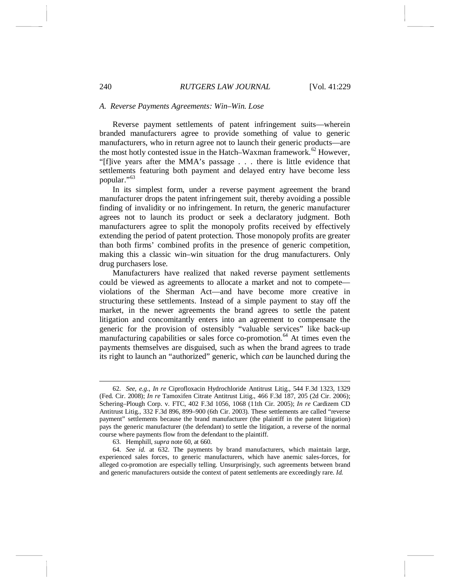#### *A. Reverse Payments Agreements: Win–Win. Lose*

Reverse payment settlements of patent infringement suits—wherein branded manufacturers agree to provide something of value to generic manufacturers, who in return agree not to launch their generic products—are the most hotly contested issue in the Hatch–Waxman framework.<sup>[62](#page-11-0)</sup> However, "[f]ive years after the MMA's passage . . . there is little evidence that settlements featuring both payment and delayed entry have become less popular."[63](#page-11-1)

In its simplest form, under a reverse payment agreement the brand manufacturer drops the patent infringement suit, thereby avoiding a possible finding of invalidity or no infringement. In return, the generic manufacturer agrees not to launch its product or seek a declaratory judgment. Both manufacturers agree to split the monopoly profits received by effectively extending the period of patent protection. Those monopoly profits are greater than both firms' combined profits in the presence of generic competition, making this a classic win–win situation for the drug manufacturers. Only drug purchasers lose.

Manufacturers have realized that naked reverse payment settlements could be viewed as agreements to allocate a market and not to compete violations of the Sherman Act—and have become more creative in structuring these settlements. Instead of a simple payment to stay off the market, in the newer agreements the brand agrees to settle the patent litigation and concomitantly enters into an agreement to compensate the generic for the provision of ostensibly "valuable services" like back-up manufacturing capabilities or sales force co-promotion.<sup>[64](#page-11-2)</sup> At times even the payments themselves are disguised, such as when the brand agrees to trade its right to launch an "authorized" generic, which *can* be launched during the

<span id="page-11-0"></span> <sup>62.</sup> *See, e.g.*, *In re* Ciprofloxacin Hydrochloride Antitrust Litig., 544 F.3d 1323, 1329 (Fed. Cir. 2008); *In re* Tamoxifen Citrate Antitrust Litig., 466 F.3d 187, 205 (2d Cir. 2006); Schering–Plough Corp. v. FTC, 402 F.3d 1056, 1068 (11th Cir. 2005); *In re* Cardizem CD Antitrust Litig., 332 F.3d 896, 899–900 (6th Cir. 2003). These settlements are called "reverse payment" settlements because the brand manufacturer (the plaintiff in the patent litigation) pays the generic manufacturer (the defendant) to settle the litigation, a reverse of the normal course where payments flow from the defendant to the plaintiff.

<sup>63.</sup> Hemphill, *supra* note [60,](#page-10-5) at 660.

<span id="page-11-2"></span><span id="page-11-1"></span><sup>64.</sup> *See id.* at 632. The payments by brand manufacturers, which maintain large, experienced sales forces, to generic manufacturers, which have anemic sales-forces, for alleged co-promotion are especially telling. Unsurprisingly, such agreements between brand and generic manufacturers outside the context of patent settlements are exceedingly rare. *Id.*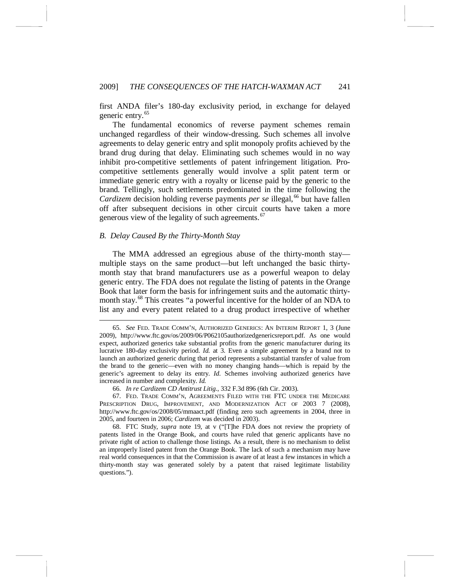first ANDA filer's 180-day exclusivity period, in exchange for delayed generic entry.<sup>[65](#page-12-0)</sup>

The fundamental economics of reverse payment schemes remain unchanged regardless of their window-dressing. Such schemes all involve agreements to delay generic entry and split monopoly profits achieved by the brand drug during that delay. Eliminating such schemes would in no way inhibit pro-competitive settlements of patent infringement litigation. Procompetitive settlements generally would involve a split patent term or immediate generic entry with a royalty or license paid by the generic to the brand. Tellingly, such settlements predominated in the time following the *Cardizem* decision holding reverse payments *per se* illegal,<sup>[66](#page-12-1)</sup> but have fallen off after subsequent decisions in other circuit courts have taken a more generous view of the legality of such agreements.<sup>[67](#page-12-2)</sup>

#### *B. Delay Caused By the Thirty-Month Stay*

The MMA addressed an egregious abuse of the thirty-month stay multiple stays on the same product—but left unchanged the basic thirtymonth stay that brand manufacturers use as a powerful weapon to delay generic entry. The FDA does not regulate the listing of patents in the Orange Book that later form the basis for infringement suits and the automatic thirty-month stay.<sup>[68](#page-12-3)</sup> This creates "a powerful incentive for the holder of an NDA to list any and every patent related to a drug product irrespective of whether

<span id="page-12-0"></span> <sup>65.</sup> *See* FED. TRADE COMM'N, AUTHORIZED GENERICS: AN INTERIM REPORT 1, 3 (June 2009), http://www.ftc.gov/os/2009/06/P062105authorizedgenericsreport.pdf. As one would expect, authorized generics take substantial profits from the generic manufacturer during its lucrative 180-day exclusivity period. *Id.* at 3. Even a simple agreement by a brand not to launch an authorized generic during that period represents a substantial transfer of value from the brand to the generic—even with no money changing hands—which is repaid by the generic's agreement to delay its entry. *Id.* Schemes involving authorized generics have increased in number and complexity. *Id.* 

<sup>66.</sup> *In re Cardizem CD Antitrust Litig.*, 332 F.3d 896 (6th Cir. 2003).

<span id="page-12-2"></span><span id="page-12-1"></span><sup>67.</sup> FED. TRADE COMM'N, AGREEMENTS FILED WITH THE FTC UNDER THE MEDICARE PRESCRIPTION DRUG, IMPROVEMENT, AND MODERNIZATION ACT OF 2003 7 (2008), http://www.ftc.gov/os/2008/05/mmaact.pdf (finding zero such agreements in 2004, three in 2005, and fourteen in 2006; *Cardizem* was decided in 2003).

<span id="page-12-3"></span><sup>68.</sup> FTC Study, *supra* note [19,](#page-4-0) at v ("[T]he FDA does not review the propriety of patents listed in the Orange Book, and courts have ruled that generic applicants have no private right of action to challenge those listings. As a result, there is no mechanism to delist an improperly listed patent from the Orange Book. The lack of such a mechanism may have real world consequences in that the Commission is aware of at least a few instances in which a thirty-month stay was generated solely by a patent that raised legitimate listability questions.").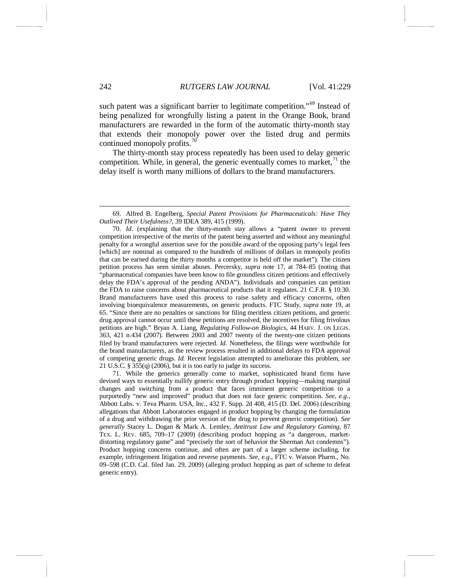such patent was a significant barrier to legitimate competition."<sup>[69](#page-13-0)</sup> Instead of being penalized for wrongfully listing a patent in the Orange Book, brand manufacturers are rewarded in the form of the automatic thirty-month stay that extends their monopoly power over the listed drug and permits continued monopoly profits.<sup>[70](#page-13-1)</sup>

<span id="page-13-3"></span>The thirty-month stay process repeatedly has been used to delay generic competition. While, in general, the generic eventually comes to market,  $71$  the delay itself is worth many millions of dollars to the brand manufacturers.

<span id="page-13-2"></span>71. While the generics generally come to market, sophisticated brand firms have devised ways to essentially nullify generic entry through product hopping—making marginal changes and switching from a product that faces imminent generic competition to a purportedly "new and improved" product that does not face generic competition. *See, e.g.*, Abbott Labs. v. Teva Pharm. USA, Inc., 432 F. Supp. 2d 408, 415 (D. Del. 2006) (describing allegations that Abbott Laboratories engaged in product hopping by changing the formulation of a drug and withdrawing the prior version of the drug to prevent generic competition). *See generally* Stacey L. Dogan & Mark A. Lemley, *Antitrust Law and Regulatory Gaming*, 87 TEX. L. REV. 685, 709–17 (2009) (describing product hopping as "a dangerous, marketdistorting regulatory game" and "precisely the sort of behavior the Sherman Act condemns"). Product hopping concerns continue, and often are part of a larger scheme including, for example, infringement litigation and reverse payments. *See, e.g*., FTC v. Watson Pharm., No. 09–598 (C.D. Cal. filed Jan. 29, 2009) (alleging product hopping as part of scheme to defeat generic entry).

<span id="page-13-0"></span> <sup>69.</sup> Alfred B. Engelberg, *Special Patent Provisions for Pharmaceuticals: Have They Outlived Their Usefulness?*, 39 IDEA 389, 415 (1999).

<span id="page-13-1"></span><sup>70.</sup> *Id*. (explaining that the thirty-month stay allows a "patent owner to prevent competition irrespective of the merits of the patent being asserted and without any meaningful penalty for a wrongful assertion save for the possible award of the opposing party's legal fees [which] are nominal as compared to the hundreds of millions of dollars in monopoly profits that can be earned during the thirty months a competitor is held off the market"). The citizen petition process has seen similar abuses. Percersky, *supra* note [17,](#page-3-3) at 784–85 (noting that "pharmaceutical companies have been know to file groundless citizen petitions and effectively delay the FDA's approval of the pending ANDA"). Individuals and companies can petition the FDA to raise concerns about pharmaceutical products that it regulates. 21 C.F.R. § 10.30. Brand manufacturers have used this process to raise safety and efficacy concerns, often involving bioequivalence measurements, on generic products. FTC Study, *supra* note [19,](#page-4-0) at 65. "Since there are no penalties or sanctions for filing meritless citizen petitions, and generic drug approval cannot occur until these petitions are resolved, the incentives for filing frivolous petitions are high." Bryan A. Liang, *Regulating Follow-on Biologics*, 44 HARV. J. ON LEGIS. 363, 421 n.434 (2007). Between 2003 and 2007 twenty of the twenty-one citizen petitions filed by brand manufacturers were rejected. *Id.* Nonetheless, the filings were worthwhile for the brand manufacturers, as the review process resulted in additional delays to FDA approval of competing generic drugs. *Id.* Recent legislation attempted to ameliorate this problem, *see* 21 U.S.C. § 355(q) (2006), but it is too early to judge its success.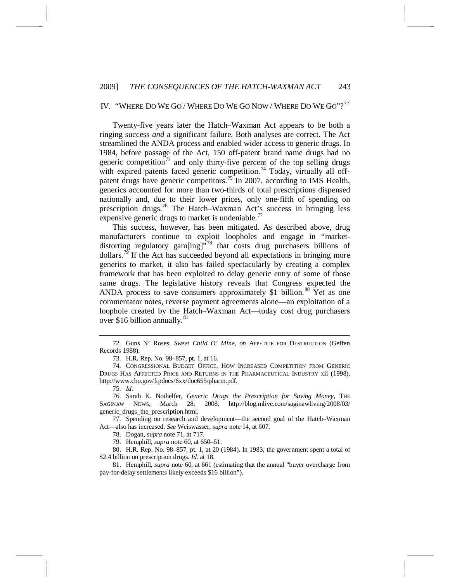# IV. "WHERE DO WE GO / WHERE DO WE GO NOW / WHERE DO WE GO"?<sup>[72](#page-14-0)</sup>

Twenty-five years later the Hatch–Waxman Act appears to be both a ringing success *and* a significant failure. Both analyses are correct. The Act streamlined the ANDA process and enabled wider access to generic drugs. In 1984, before passage of the Act, 150 off-patent brand name drugs had no generic competition<sup>[73](#page-14-1)</sup> and only thirty-five percent of the top selling drugs with expired patents faced generic competition.<sup>[74](#page-14-2)</sup> Today, virtually all off-patent drugs have generic competitors.<sup>[75](#page-14-3)</sup> In 2007, according to IMS Health, generics accounted for more than two-thirds of total prescriptions dispensed nationally and, due to their lower prices, only one-fifth of spending on prescription drugs.[76](#page-14-4) The Hatch–Waxman Act's success in bringing less expensive generic drugs to market is undeniable.<sup>[77](#page-14-5)</sup>

This success, however, has been mitigated. As described above, drug manufacturers continue to exploit loopholes and engage in "marketdistorting regulatory gam $\left[$ ing $\right]$ <sup>[78](#page-14-6)</sup> that costs drug purchasers billions of dollars.<sup>[79](#page-14-7)</sup> If the Act has succeeded beyond all expectations in bringing more generics to market, it also has failed spectacularly by creating a complex framework that has been exploited to delay generic entry of some of those same drugs. The legislative history reveals that Congress expected the ANDA process to save consumers approximately \$1 billion.<sup>[80](#page-14-8)</sup> Yet as one commentator notes, reverse payment agreements alone—an exploitation of a loophole created by the Hatch–Waxman Act—today cost drug purchasers over \$16 billion annually. $81$ 

79. Hemphill, *supra* not[e 60,](#page-10-5) at 650–51.

<span id="page-14-8"></span><span id="page-14-7"></span><span id="page-14-6"></span>80. H.R. Rep. No. 98–857, pt. 1, at 20 (1984). In 1983, the government spent a total of \$2.4 billion on prescription drugs. *Id.* at 18.

<span id="page-14-9"></span>81. Hemphill, *supra* note [60,](#page-10-5) at 661 (estimating that the annual "buyer overcharge from pay-for-delay settlements likely exceeds \$16 billion").

<span id="page-14-0"></span> <sup>72.</sup> Guns N' Roses, *Sweet Child O' Mine*, *on* APPETITE FOR DESTRUCTION (Geffen Records 1988).

<sup>73.</sup> H.R. Rep. No. 98–857, pt. 1, at 16.

<span id="page-14-2"></span><span id="page-14-1"></span><sup>74.</sup> CONGRESSIONAL BUDGET OFFICE, HOW INCREASED COMPETITION FROM GENERIC DRUGS HAS AFFECTED PRICE AND RETURNS IN THE PHARMACEUTICAL INDUSTRY xii (1998), http://www.cbo.gov/ftpdocs/6xx/doc655/pharm.pdf.

<sup>75.</sup> *Id.*

<span id="page-14-4"></span><span id="page-14-3"></span><sup>76.</sup> Sarah K. Nothelfer, *Generic Drugs the Prescription for Saving Money*, THE SAGINAW NEWS, March 28, 2008, http://blog.mlive.com/saginawliving/2008/03/ generic\_drugs\_the\_prescription.html.

<span id="page-14-5"></span><sup>77.</sup> Spending on research and development—the second goal of the Hatch–Waxman Act—also has increased. *See* Weiswasser, *supra* note [14,](#page-2-7) at 607.

<sup>78.</sup> Dogan, *supra* note [71,](#page-13-3) at 717.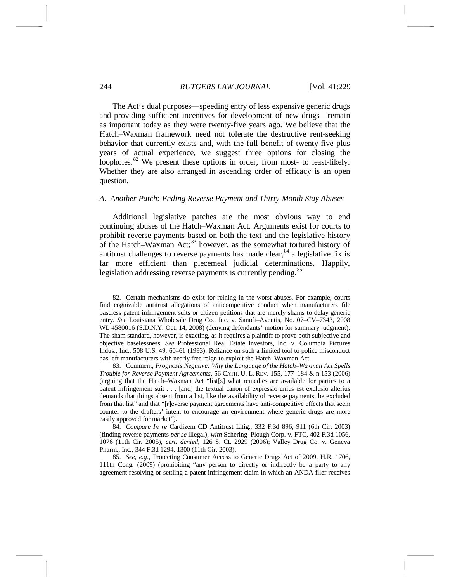The Act's dual purposes—speeding entry of less expensive generic drugs and providing sufficient incentives for development of new drugs—remain as important today as they were twenty-five years ago. We believe that the Hatch–Waxman framework need not tolerate the destructive rent-seeking behavior that currently exists and, with the full benefit of twenty-five plus years of actual experience, we suggest three options for closing the loopholes.<sup>[82](#page-15-0)</sup> We present these options in order, from most- to least-likely. Whether they are also arranged in ascending order of efficacy is an open question.

# *A. Another Patch: Ending Reverse Payment and Thirty-Month Stay Abuses*

Additional legislative patches are the most obvious way to end continuing abuses of the Hatch–Waxman Act. Arguments exist for courts to prohibit reverse payments based on both the text and the legislative history of the Hatch–Waxman Act; $^{83}$  $^{83}$  $^{83}$  however, as the somewhat tortured history of antitrust challenges to reverse payments has made clear,  $84$  a legislative fix is far more efficient than piecemeal judicial determinations. Happily, legislation addressing reverse payments is currently pending.<sup>[85](#page-15-3)</sup>

<span id="page-15-0"></span> <sup>82.</sup> Certain mechanisms do exist for reining in the worst abuses. For example, courts find cognizable antitrust allegations of anticompetitive conduct when manufacturers file baseless patent infringement suits or citizen petitions that are merely shams to delay generic entry. *See* Louisiana Wholesale Drug Co., Inc. v. Sanofi–Aventis, No. 07–CV–7343, 2008 WL 4580016 (S.D.N.Y. Oct. 14, 2008) (denying defendants' motion for summary judgment). The sham standard, however, is exacting, as it requires a plaintiff to prove both subjective and objective baselessness. *See* Professional Real Estate Investors, Inc. v. Columbia Pictures Indus., Inc., 508 U.S. 49, 60–61 (1993). Reliance on such a limited tool to police misconduct has left manufacturers with nearly free reign to exploit the Hatch–Waxman Act.

<span id="page-15-1"></span><sup>83.</sup> Comment, *Prognosis Negative: Why the Language of the Hatch–Waxman Act Spells Trouble for Reverse Payment Agreements*, 56 CATH. U. L. REV. 155, 177–184 & n.153 (2006) (arguing that the Hatch–Waxman Act "list[s] what remedies are available for parties to a patent infringement suit . . . [and] the textual canon of expressio unius est exclusio alterius demands that things absent from a list, like the availability of reverse payments, be excluded from that list" and that "[r]everse payment agreements have anti-competitive effects that seem counter to the drafters' intent to encourage an environment where generic drugs are more easily approved for market").

<span id="page-15-2"></span><sup>84.</sup> *Compare In re* Cardizem CD Antitrust Litig., 332 F.3d 896, 911 (6th Cir. 2003) (finding reverse payments *per se* illegal), *with* Schering–Plough Corp. v. FTC, 402 F.3d 1056, 1076 (11th Cir. 2005), *cert. denied*, 126 S. Ct. 2929 (2006); Valley Drug Co. v. Geneva Pharm., Inc., 344 F.3d 1294, 1300 (11th Cir. 2003).

<span id="page-15-3"></span><sup>85.</sup> *See, e.g*., Protecting Consumer Access to Generic Drugs Act of 2009, H.R. 1706, 111th Cong. (2009) (prohibiting "any person to directly or indirectly be a party to any agreement resolving or settling a patent infringement claim in which an ANDA filer receives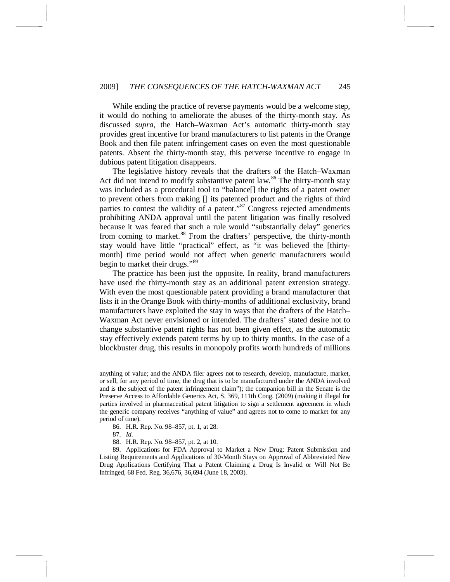While ending the practice of reverse payments would be a welcome step, it would do nothing to ameliorate the abuses of the thirty-month stay. As discussed *supra*, the Hatch–Waxman Act's automatic thirty-month stay provides great incentive for brand manufacturers to list patents in the Orange Book and then file patent infringement cases on even the most questionable patents. Absent the thirty-month stay, this perverse incentive to engage in dubious patent litigation disappears.

The legislative history reveals that the drafters of the Hatch–Waxman Act did not intend to modify substantive patent law.<sup>[86](#page-16-0)</sup> The thirty-month stay was included as a procedural tool to "balance[] the rights of a patent owner to prevent others from making [] its patented product and the rights of third parties to contest the validity of a patent."[87](#page-16-1) Congress rejected amendments prohibiting ANDA approval until the patent litigation was finally resolved because it was feared that such a rule would "substantially delay" generics from coming to market.<sup>[88](#page-16-2)</sup> From the drafters' perspective, the thirty-month stay would have little "practical" effect, as "it was believed the [thirtymonth] time period would not affect when generic manufacturers would begin to market their drugs."[89](#page-16-3)

The practice has been just the opposite. In reality, brand manufacturers have used the thirty-month stay as an additional patent extension strategy. With even the most questionable patent providing a brand manufacturer that lists it in the Orange Book with thirty-months of additional exclusivity, brand manufacturers have exploited the stay in ways that the drafters of the Hatch– Waxman Act never envisioned or intended. The drafters' stated desire not to change substantive patent rights has not been given effect, as the automatic stay effectively extends patent terms by up to thirty months. In the case of a blockbuster drug, this results in monopoly profits worth hundreds of millions

86. H.R. Rep. No. 98–857, pt. 1, at 28.

87. *Id.*

88. H.R. Rep. No. 98–857, pt. 2, at 10.

<span id="page-16-3"></span><span id="page-16-2"></span><span id="page-16-1"></span><span id="page-16-0"></span>89. Applications for FDA Approval to Market a New Drug: Patent Submission and Listing Requirements and Applications of 30-Month Stays on Approval of Abbreviated New Drug Applications Certifying That a Patent Claiming a Drug Is Invalid or Will Not Be Infringed, 68 Fed. Reg. 36,676, 36,694 (June 18, 2003).

anything of value; and the ANDA filer agrees not to research, develop, manufacture, market, or sell, for any period of time, the drug that is to be manufactured under the ANDA involved and is the subject of the patent infringement claim"); the companion bill in the Senate is the Preserve Access to Affordable Generics Act, S. 369, 111th Cong. (2009) (making it illegal for parties involved in pharmaceutical patent litigation to sign a settlement agreement in which the generic company receives "anything of value" and agrees not to come to market for any period of time).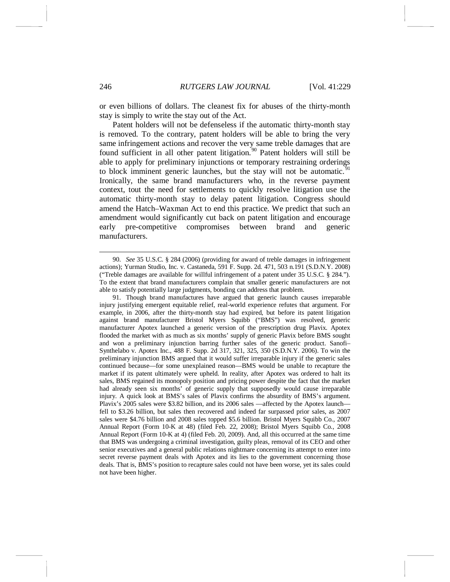or even billions of dollars. The cleanest fix for abuses of the thirty-month stay is simply to write the stay out of the Act.

Patent holders will not be defenseless if the automatic thirty-month stay is removed. To the contrary, patent holders will be able to bring the very same infringement actions and recover the very same treble damages that are found sufficient in all other patent litigation.<sup>[90](#page-17-0)</sup> Patent holders will still be able to apply for preliminary injunctions or temporary restraining orderings to block imminent generic launches, but the stay will not be automatic.  $\delta$ Ironically, the same brand manufacturers who, in the reverse payment context, tout the need for settlements to quickly resolve litigation use the automatic thirty-month stay to delay patent litigation. Congress should amend the Hatch–Waxman Act to end this practice. We predict that such an amendment would significantly cut back on patent litigation and encourage early pre-competitive compromises between brand and generic manufacturers.

<span id="page-17-0"></span> <sup>90.</sup> *See* 35 U.S.C. § 284 (2006) (providing for award of treble damages in infringement actions); Yurman Studio, Inc. v. Castaneda, 591 F. Supp. 2d. 471, 503 n.191 (S.D.N.Y. 2008) ("Treble damages are available for willful infringement of a patent under 35 U.S.C. § 284."). To the extent that brand manufacturers complain that smaller generic manufacturers are not able to satisfy potentially large judgments, bonding can address that problem.

<span id="page-17-1"></span><sup>91.</sup> Though brand manufactures have argued that generic launch causes irreparable injury justifying emergent equitable relief, real-world experience refutes that argument. For example, in 2006, after the thirty-month stay had expired, but before its patent litigation against brand manufacturer Bristol Myers Squibb ("BMS") was resolved, generic manufacturer Apotex launched a generic version of the prescription drug Plavix. Apotex flooded the market with as much as six months' supply of generic Plavix before BMS sought and won a preliminary injunction barring further sales of the generic product. Sanofi– Synthelabo v. Apotex Inc., 488 F. Supp. 2d 317, 321, 325, 350 (S.D.N.Y. 2006). To win the preliminary injunction BMS argued that it would suffer irreparable injury if the generic sales continued because—for some unexplained reason—BMS would be unable to recapture the market if its patent ultimately were upheld. In reality, after Apotex was ordered to halt its sales, BMS regained its monopoly position and pricing power despite the fact that the market had already seen six months' of generic supply that supposedly would cause irreparable injury. A quick look at BMS's sales of Plavix confirms the absurdity of BMS's argument. Plavix's 2005 sales were \$3.82 billion, and its 2006 sales —affected by the Apotex launch fell to \$3.26 billion, but sales then recovered and indeed far surpassed prior sales, as 2007 sales were \$4.76 billion and 2008 sales topped \$5.6 billion. Bristol Myers Squibb Co., 2007 Annual Report (Form 10-K at 48) (filed Feb. 22, 2008); Bristol Myers Squibb Co., 2008 Annual Report (Form 10-K at 4) (filed Feb. 20, 2009). And, all this occurred at the same time that BMS was undergoing a criminal investigation, guilty pleas, removal of its CEO and other senior executives and a general public relations nightmare concerning its attempt to enter into secret reverse payment deals with Apotex and its lies to the government concerning those deals. That is, BMS's position to recapture sales could not have been worse, yet its sales could not have been higher.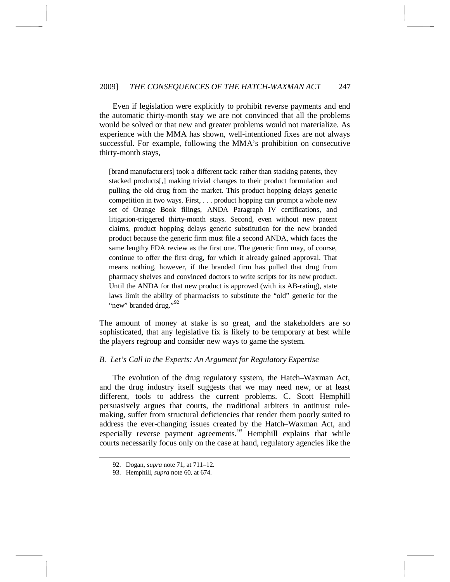Even if legislation were explicitly to prohibit reverse payments and end the automatic thirty-month stay we are not convinced that all the problems would be solved or that new and greater problems would not materialize. As experience with the MMA has shown, well-intentioned fixes are not always successful. For example, following the MMA's prohibition on consecutive thirty-month stays,

[brand manufacturers] took a different tack: rather than stacking patents, they stacked products[,] making trivial changes to their product formulation and pulling the old drug from the market. This product hopping delays generic competition in two ways. First, . . . product hopping can prompt a whole new set of Orange Book filings, ANDA Paragraph IV certifications, and litigation-triggered thirty-month stays. Second, even without new patent claims, product hopping delays generic substitution for the new branded product because the generic firm must file a second ANDA, which faces the same lengthy FDA review as the first one. The generic firm may, of course, continue to offer the first drug, for which it already gained approval. That means nothing, however, if the branded firm has pulled that drug from pharmacy shelves and convinced doctors to write scripts for its new product. Until the ANDA for that new product is approved (with its AB-rating), state laws limit the ability of pharmacists to substitute the "old" generic for the "new" branded drug."<sup>[92](#page-18-0)</sup>

The amount of money at stake is so great, and the stakeholders are so sophisticated, that any legislative fix is likely to be temporary at best while the players regroup and consider new ways to game the system.

# *B. Let's Call in the Experts: An Argument for Regulatory Expertise*

The evolution of the drug regulatory system, the Hatch–Waxman Act, and the drug industry itself suggests that we may need new, or at least different, tools to address the current problems. C. Scott Hemphill persuasively argues that courts, the traditional arbiters in antitrust rulemaking, suffer from structural deficiencies that render them poorly suited to address the ever-changing issues created by the Hatch–Waxman Act, and especially reverse payment agreements.<sup>[93](#page-18-1)</sup> Hemphill explains that while courts necessarily focus only on the case at hand, regulatory agencies like the

<span id="page-18-1"></span><span id="page-18-0"></span> <sup>92.</sup> Dogan, *supra* note [71,](#page-13-3) at 711–12.

<sup>93.</sup> Hemphill, *supra* note [60,](#page-10-5) at 674.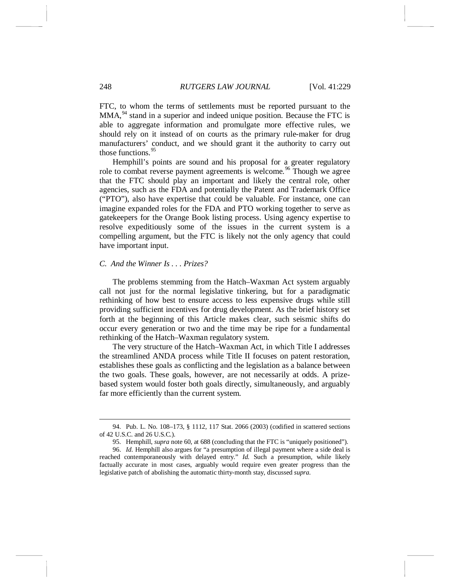FTC, to whom the terms of settlements must be reported pursuant to the  $MMA<sub>1</sub><sup>94</sup>$  $MMA<sub>1</sub><sup>94</sup>$  $MMA<sub>1</sub><sup>94</sup>$  stand in a superior and indeed unique position. Because the FTC is able to aggregate information and promulgate more effective rules, we should rely on it instead of on courts as the primary rule-maker for drug manufacturers' conduct, and we should grant it the authority to carry out those functions.<sup>[95](#page-19-1)</sup>

Hemphill's points are sound and his proposal for a greater regulatory role to combat reverse payment agreements is welcome.<sup>[96](#page-19-2)</sup> Though we agree that the FTC should play an important and likely the central role, other agencies, such as the FDA and potentially the Patent and Trademark Office ("PTO"), also have expertise that could be valuable. For instance, one can imagine expanded roles for the FDA and PTO working together to serve as gatekeepers for the Orange Book listing process. Using agency expertise to resolve expeditiously some of the issues in the current system is a compelling argument, but the FTC is likely not the only agency that could have important input.

# *C. And the Winner Is . . . Prizes?*

The problems stemming from the Hatch–Waxman Act system arguably call not just for the normal legislative tinkering, but for a paradigmatic rethinking of how best to ensure access to less expensive drugs while still providing sufficient incentives for drug development. As the brief history set forth at the beginning of this Article makes clear, such seismic shifts do occur every generation or two and the time may be ripe for a fundamental rethinking of the Hatch–Waxman regulatory system.

The very structure of the Hatch–Waxman Act, in which Title I addresses the streamlined ANDA process while Title II focuses on patent restoration, establishes these goals as conflicting and the legislation as a balance between the two goals. These goals, however, are not necessarily at odds. A prizebased system would foster both goals directly, simultaneously, and arguably far more efficiently than the current system.

<span id="page-19-0"></span> <sup>94.</sup> Pub. L. No. 108–173, § 1112, 117 Stat. 2066 (2003) (codified in scattered sections of 42 U.S.C. and 26 U.S.C.).

<sup>95.</sup> Hemphill, *supra* not[e 60,](#page-10-5) at 688 (concluding that the FTC is "uniquely positioned").

<span id="page-19-2"></span><span id="page-19-1"></span><sup>96.</sup> *Id.* Hemphill also argues for "a presumption of illegal payment where a side deal is reached contemporaneously with delayed entry." *Id.* Such a presumption, while likely factually accurate in most cases, arguably would require even greater progress than the legislative patch of abolishing the automatic thirty-month stay, discussed *supra*.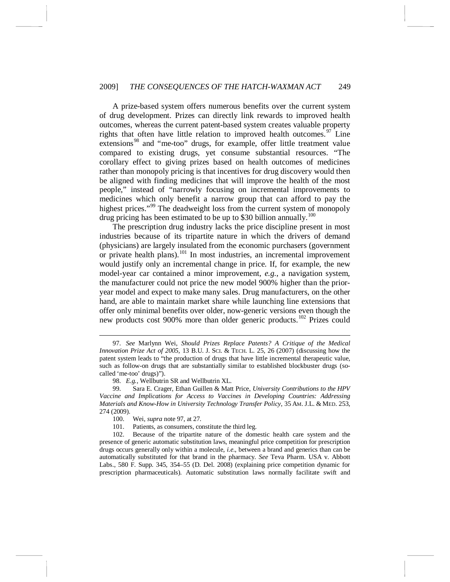### 2009] *THE CONSEQUENCES OF THE HATCH-WAXMAN ACT* 249

<span id="page-20-0"></span>A prize-based system offers numerous benefits over the current system of drug development. Prizes can directly link rewards to improved health outcomes, whereas the current patent-based system creates valuable property rights that often have little relation to improved health outcomes.<sup>[97](#page-20-1)</sup> Line extensions<sup>[98](#page-20-2)</sup> and "me-too" drugs, for example, offer little treatment value compared to existing drugs, yet consume substantial resources. "The corollary effect to giving prizes based on health outcomes of medicines rather than monopoly pricing is that incentives for drug discovery would then be aligned with finding medicines that will improve the health of the most people," instead of "narrowly focusing on incremental improvements to medicines which only benefit a narrow group that can afford to pay the highest prices."<sup>[99](#page-20-3)</sup> The deadweight loss from the current system of monopoly drug pricing has been estimated to be up to \$30 billion annually.<sup>[100](#page-20-4)</sup>

<span id="page-20-7"></span>The prescription drug industry lacks the price discipline present in most industries because of its tripartite nature in which the drivers of demand (physicians) are largely insulated from the economic purchasers (government or private health plans).<sup>[101](#page-20-5)</sup> In most industries, an incremental improvement would justify only an incremental change in price. If, for example, the new model-year car contained a minor improvement, *e.g.*, a navigation system, the manufacturer could not price the new model 900% higher than the prioryear model and expect to make many sales. Drug manufacturers, on the other hand, are able to maintain market share while launching line extensions that offer only minimal benefits over older, now-generic versions even though the new products cost 900% more than older generic products.<sup>[102](#page-20-6)</sup> Prizes could

<span id="page-20-1"></span> <sup>97.</sup> *See* Marlynn Wei, *Should Prizes Replace Patents? A Critique of the Medical Innovation Prize Act of 2005*, 13 B.U. J. SCI. & TECH. L. 25, 26 (2007) (discussing how the patent system leads to "the production of drugs that have little incremental therapeutic value, such as follow-on drugs that are substantially similar to established blockbuster drugs (socalled 'me-too' drugs)").

<sup>98.</sup> *E.g.*, Wellbutrin SR and Wellbutrin XL.

<span id="page-20-3"></span><span id="page-20-2"></span><sup>99.</sup> Sara E. Crager, Ethan Guillen & Matt Price, *University Contributions to the HPV Vaccine and Implications for Access to Vaccines in Developing Countries: Addressing Materials and Know-How in University Technology Transfer Policy*, 35 AM. J.L. & MED. 253, 274 (2009).

<sup>100.</sup> Wei, *supra* not[e 97,](#page-20-0) at 27.

<sup>101.</sup> Patients, as consumers, constitute the third leg.

<span id="page-20-6"></span><span id="page-20-5"></span><span id="page-20-4"></span><sup>102.</sup> Because of the tripartite nature of the domestic health care system and the presence of generic automatic substitution laws, meaningful price competition for prescription drugs occurs generally only within a molecule, *i.e*., between a brand and generics than can be automatically substituted for that brand in the pharmacy. *See* Teva Pharm. USA v. Abbott Labs., 580 F. Supp. 345, 354–55 (D. Del. 2008) (explaining price competition dynamic for prescription pharmaceuticals). Automatic substitution laws normally facilitate swift and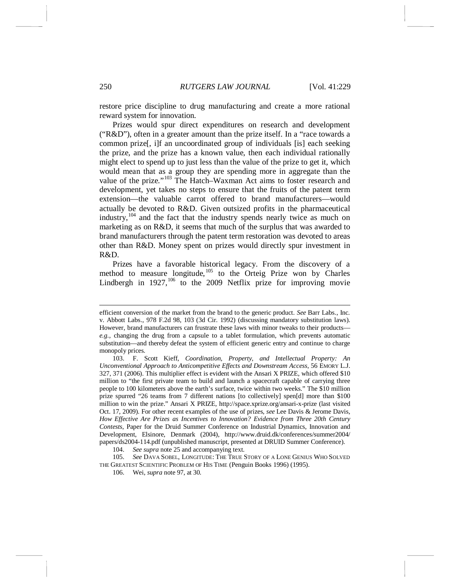restore price discipline to drug manufacturing and create a more rational reward system for innovation.

Prizes would spur direct expenditures on research and development ("R&D"), often in a greater amount than the prize itself. In a "race towards a common prize[, i]f an uncoordinated group of individuals [is] each seeking the prize, and the prize has a known value, then each individual rationally might elect to spend up to just less than the value of the prize to get it, which would mean that as a group they are spending more in aggregate than the value of the prize."<sup>[103](#page-21-0)</sup> The Hatch–Waxman Act aims to foster research and development, yet takes no steps to ensure that the fruits of the patent term extension—the valuable carrot offered to brand manufacturers—would actually be devoted to R&D. Given outsized profits in the pharmaceutical industry,<sup>[104](#page-21-1)</sup> and the fact that the industry spends nearly twice as much on marketing as on R&D, it seems that much of the surplus that was awarded to brand manufacturers through the patent term restoration was devoted to areas other than R&D. Money spent on prizes would directly spur investment in R&D.

Prizes have a favorable historical legacy. From the discovery of a method to measure longitude, [105](#page-21-2) to the Orteig Prize won by Charles Lindbergh in  $1927$ ,<sup>[106](#page-21-3)</sup> to the 2009 Netflix prize for improving movie

104. *See supra* note [25](#page-5-5) and accompanying text.

<span id="page-21-3"></span><span id="page-21-2"></span><span id="page-21-1"></span>105. *See* DAVA SOBEL, LONGITUDE: THE TRUE STORY OF A LONE GENIUS WHO SOLVED THE GREATEST SCIENTIFIC PROBLEM OF HIS TIME (Penguin Books 1996) (1995).

106. Wei, *supra* not[e 97,](#page-20-0) at 30.

efficient conversion of the market from the brand to the generic product. *See* Barr Labs., Inc. v. Abbott Labs., 978 F.2d 98, 103 (3d Cir. 1992) (discussing mandatory substitution laws). However, brand manufacturers can frustrate these laws with minor tweaks to their products *e.g.*, changing the drug from a capsule to a tablet formulation, which prevents automatic substitution—and thereby defeat the system of efficient generic entry and continue to charge monopoly prices.

<span id="page-21-0"></span><sup>103.</sup> F. Scott Kieff, *Coordination, Property, and Intellectual Property: An Unconventional Approach to Anticompetitive Effects and Downstream Access*, 56 EMORY L.J. 327, 371 (2006). This multiplier effect is evident with the Ansari X PRIZE, which offered \$10 million to "the first private team to build and launch a spacecraft capable of carrying three people to 100 kilometers above the earth's surface, twice within two weeks." The \$10 million prize spurred "26 teams from 7 different nations [to collectively] spen[d] more than \$100 million to win the prize." Ansari X PRIZE, http://space.xprize.org/ansari-x-prize (last visited Oct. 17, 2009). For other recent examples of the use of prizes, *see* Lee Davis & Jerome Davis, *How Effective Are Prizes as Incentives to Innovation? Evidence from Three 20th Century Contests*, Paper for the Druid Summer Conference on Industrial Dynamics, Innovation and Development, Elsinore, Denmark (2004), http://www.druid.dk/conferences/summer2004/ papers/ds2004-114.pdf (unpublished manuscript, presented at DRUID Summer Conference).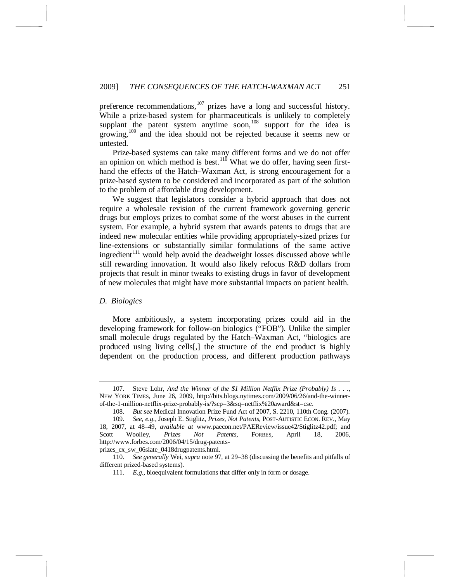preference recommendations, $107$  prizes have a long and successful history. While a prize-based system for pharmaceuticals is unlikely to completely supplant the patent system anytime soon,<sup>[108](#page-22-1)</sup> support for the idea is growing,<sup>[109](#page-22-2)</sup> and the idea should not be rejected because it seems new or untested.

Prize-based systems can take many different forms and we do not offer an opinion on which method is best.<sup>[110](#page-22-3)</sup> What we do offer, having seen firsthand the effects of the Hatch–Waxman Act, is strong encouragement for a prize-based system to be considered and incorporated as part of the solution to the problem of affordable drug development.

We suggest that legislators consider a hybrid approach that does not require a wholesale revision of the current framework governing generic drugs but employs prizes to combat some of the worst abuses in the current system. For example, a hybrid system that awards patents to drugs that are indeed new molecular entities while providing appropriately-sized prizes for line-extensions or substantially similar formulations of the same active ingredient<sup>[111](#page-22-4)</sup> would help avoid the deadweight losses discussed above while still rewarding innovation. It would also likely refocus R&D dollars from projects that result in minor tweaks to existing drugs in favor of development of new molecules that might have more substantial impacts on patient health.

# *D. Biologics*

More ambitiously, a system incorporating prizes could aid in the developing framework for follow-on biologics ("FOB"). Unlike the simpler small molecule drugs regulated by the Hatch–Waxman Act, "biologics are produced using living cells[,] the structure of the end product is highly dependent on the production process, and different production pathways

prizes\_cx\_sw\_06slate\_0418drugpatents.html.

<span id="page-22-0"></span> <sup>107.</sup> Steve Lohr, *And the Winner of the \$1 Million Netflix Prize (Probably) Is . . .*, NEW YORK TIMES, June 26, 2009, http://bits.blogs.nytimes.com/2009/06/26/and-the-winnerof-the-1-million-netflix-prize-probably-is/?scp=3&sq=netflix%20award&st=cse.

<sup>108.</sup> *But see* Medical Innovation Prize Fund Act of 2007, S. 2210, 110th Cong. (2007).

<span id="page-22-2"></span><span id="page-22-1"></span><sup>109.</sup> *See, e.g.*, Joseph E. Stiglitz, *Prizes, Not Patents*, POST-AUTISTIC ECON. REV., May 18, 2007, at 48–49, *available at* www.paecon.net/PAEReview/issue42/Stiglitz42.pdf; and Scott Woolley, *Prizes Not Patents*, FORBES, April 18, 2006, http://www.forbes.com/2006/04/15/drug-patents-

<span id="page-22-4"></span><span id="page-22-3"></span><sup>110.</sup> *See generally* Wei, *supra* not[e 97,](#page-20-0) at 29–38 (discussing the benefits and pitfalls of different prized-based systems).

<sup>111.</sup> *E.g*., bioequivalent formulations that differ only in form or dosage.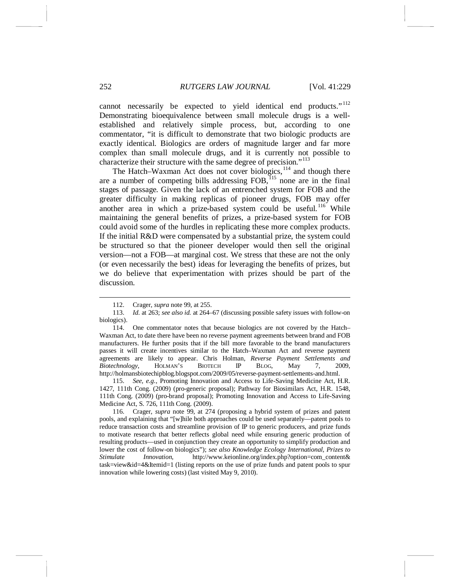cannot necessarily be expected to yield identical end products."<sup>[112](#page-23-0)</sup> Demonstrating bioequivalence between small molecule drugs is a wellestablished and relatively simple process, but, according to one commentator, "it is difficult to demonstrate that two biologic products are exactly identical. Biologics are orders of magnitude larger and far more complex than small molecule drugs, and it is currently not possible to characterize their structure with the same degree of precision."<sup>[113](#page-23-1)</sup>

The Hatch–Waxman Act does not cover biologics,<sup>[114](#page-23-2)</sup> and though there are a number of competing bills addressing FOB,<sup>[115](#page-23-3)</sup> none are in the final stages of passage. Given the lack of an entrenched system for FOB and the greater difficulty in making replicas of pioneer drugs, FOB may offer another area in which a prize-based system could be useful.<sup>[116](#page-23-4)</sup> While maintaining the general benefits of prizes, a prize-based system for FOB could avoid some of the hurdles in replicating these more complex products. If the initial R&D were compensated by a substantial prize, the system could be structured so that the pioneer developer would then sell the original version—not a FOB—at marginal cost. We stress that these are not the only (or even necessarily the best) ideas for leveraging the benefits of prizes, but we do believe that experimentation with prizes should be part of the discussion.

 <sup>112.</sup> Crager, *supra* note [99,](#page-20-7) at 255.

<span id="page-23-1"></span><span id="page-23-0"></span><sup>113.</sup> *Id.* at 263; *see also id.* at 264–67 (discussing possible safety issues with follow-on biologics).

<span id="page-23-2"></span><sup>114.</sup> One commentator notes that because biologics are not covered by the Hatch– Waxman Act, to date there have been no reverse payment agreements between brand and FOB manufacturers. He further posits that if the bill more favorable to the brand manufacturers passes it will create incentives similar to the Hatch–Waxman Act and reverse payment agreements are likely to appear. Chris Holman, *Reverse Payment Settlements and Biotechnology*, HOLMAN'S BIOTECH IP BLOG, May 7, 2009, http://holmansbiotechipblog.blogspot.com/2009/05/reverse-payment-settlements-and.html.

<span id="page-23-3"></span><sup>115.</sup> *See, e.g.*, Promoting Innovation and Access to Life-Saving Medicine Act, H.R. 1427, 111th Cong. (2009) (pro-generic proposal); Pathway for Biosimilars Act, H.R. 1548, 111th Cong. (2009) (pro-brand proposal); Promoting Innovation and Access to Life-Saving Medicine Act, S. 726, 111th Cong. (2009).

<span id="page-23-4"></span><sup>116.</sup> Crager, *supra* note [99,](#page-20-7) at 274 (proposing a hybrid system of prizes and patent pools, and explaining that "[w]hile both approaches could be used separately—patent pools to reduce transaction costs and streamline provision of IP to generic producers, and prize funds to motivate research that better reflects global need while ensuring generic production of resulting products—used in conjunction they create an opportunity to simplify production and lower the cost of follow-on biologics"); *see also Knowledge Ecology International, Prizes to Stimulate Innovation*, http://www.keionline.org/index.php?option=com\_content& task=view&id=4&Itemid=1 (listing reports on the use of prize funds and patent pools to spur innovation while lowering costs) (last visited May 9, 2010).